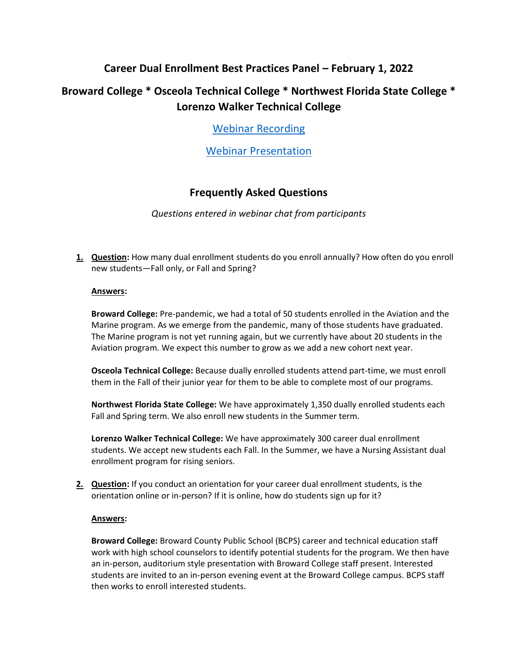## **Career Dual Enrollment Best Practices Panel – February 1, 2022**

# **Broward College \* Osceola Technical College \* Northwest Florida State College \* Lorenzo Walker Technical College**

[Webinar Recording](https://attendee.gotowebinar.com/recording/5622118933452897036)

[Webinar Presentation](https://www.fldoe.org/core/fileparse.php/7515/urlt/CDE-BestPracticesWebinar.pdf)

## **Frequently Asked Questions**

*Questions entered in webinar chat from participants*

**1. Question:** How many dual enrollment students do you enroll annually? How often do you enroll new students—Fall only, or Fall and Spring?

## **Answers:**

**Broward College:** Pre-pandemic, we had a total of 50 students enrolled in the Aviation and the Marine program. As we emerge from the pandemic, many of those students have graduated. The Marine program is not yet running again, but we currently have about 20 students in the Aviation program. We expect this number to grow as we add a new cohort next year.

**Osceola Technical College:** Because dually enrolled students attend part-time, we must enroll them in the Fall of their junior year for them to be able to complete most of our programs.

**Northwest Florida State College:** We have approximately 1,350 dually enrolled students each Fall and Spring term. We also enroll new students in the Summer term.

**Lorenzo Walker Technical College:** We have approximately 300 career dual enrollment students. We accept new students each Fall. In the Summer, we have a Nursing Assistant dual enrollment program for rising seniors.

**2. Question:** If you conduct an orientation for your career dual enrollment students, is the orientation online or in-person? If it is online, how do students sign up for it?

### **Answers:**

**Broward College:** Broward County Public School (BCPS) career and technical education staff work with high school counselors to identify potential students for the program. We then have an in-person, auditorium style presentation with Broward College staff present. Interested students are invited to an in-person evening event at the Broward College campus. BCPS staff then works to enroll interested students.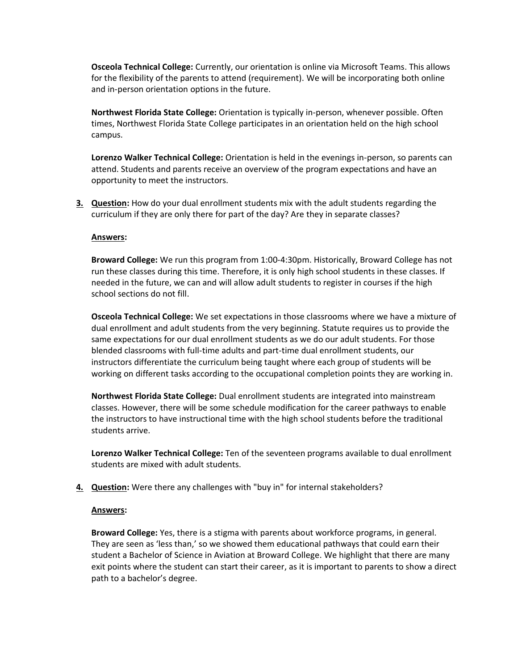**Osceola Technical College:** Currently, our orientation is online via Microsoft Teams. This allows for the flexibility of the parents to attend (requirement). We will be incorporating both online and in-person orientation options in the future.

**Northwest Florida State College:** Orientation is typically in-person, whenever possible. Often times, Northwest Florida State College participates in an orientation held on the high school campus.

**Lorenzo Walker Technical College:** Orientation is held in the evenings in-person, so parents can attend. Students and parents receive an overview of the program expectations and have an opportunity to meet the instructors.

**3. Question:** How do your dual enrollment students mix with the adult students regarding the curriculum if they are only there for part of the day? Are they in separate classes?

#### **Answers:**

**Broward College:** We run this program from 1:00-4:30pm. Historically, Broward College has not run these classes during this time. Therefore, it is only high school students in these classes. If needed in the future, we can and will allow adult students to register in courses if the high school sections do not fill.

**Osceola Technical College:** We set expectations in those classrooms where we have a mixture of dual enrollment and adult students from the very beginning. Statute requires us to provide the same expectations for our dual enrollment students as we do our adult students. For those blended classrooms with full-time adults and part-time dual enrollment students, our instructors differentiate the curriculum being taught where each group of students will be working on different tasks according to the occupational completion points they are working in.

**Northwest Florida State College:** Dual enrollment students are integrated into mainstream classes. However, there will be some schedule modification for the career pathways to enable the instructors to have instructional time with the high school students before the traditional students arrive.

**Lorenzo Walker Technical College:** Ten of the seventeen programs available to dual enrollment students are mixed with adult students.

**4. Question:** Were there any challenges with "buy in" for internal stakeholders?

#### **Answers:**

**Broward College:** Yes, there is a stigma with parents about workforce programs, in general. They are seen as 'less than,' so we showed them educational pathways that could earn their student a Bachelor of Science in Aviation at Broward College. We highlight that there are many exit points where the student can start their career, as it is important to parents to show a direct path to a bachelor's degree.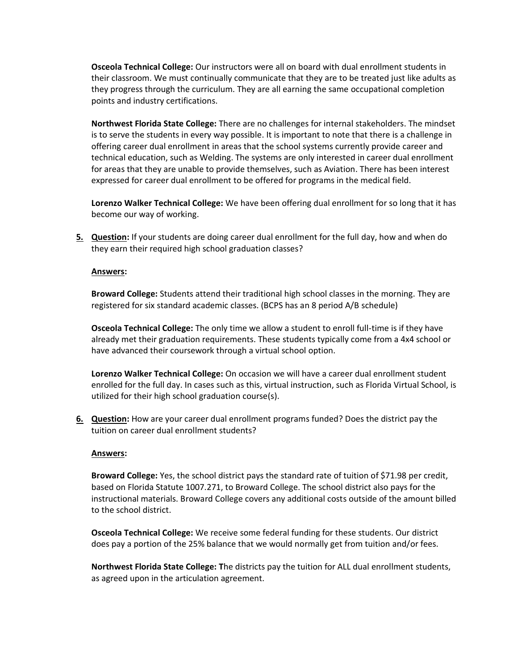**Osceola Technical College:** Our instructors were all on board with dual enrollment students in their classroom. We must continually communicate that they are to be treated just like adults as they progress through the curriculum. They are all earning the same occupational completion points and industry certifications.

**Northwest Florida State College:** There are no challenges for internal stakeholders. The mindset is to serve the students in every way possible. It is important to note that there is a challenge in offering career dual enrollment in areas that the school systems currently provide career and technical education, such as Welding. The systems are only interested in career dual enrollment for areas that they are unable to provide themselves, such as Aviation. There has been interest expressed for career dual enrollment to be offered for programs in the medical field.

**Lorenzo Walker Technical College:** We have been offering dual enrollment for so long that it has become our way of working.

**5. Question:** If your students are doing career dual enrollment for the full day, how and when do they earn their required high school graduation classes?

#### **Answers:**

**Broward College:** Students attend their traditional high school classes in the morning. They are registered for six standard academic classes. (BCPS has an 8 period A/B schedule)

**Osceola Technical College:** The only time we allow a student to enroll full-time is if they have already met their graduation requirements. These students typically come from a 4x4 school or have advanced their coursework through a virtual school option.

**Lorenzo Walker Technical College:** On occasion we will have a career dual enrollment student enrolled for the full day. In cases such as this, virtual instruction, such as Florida Virtual School, is utilized for their high school graduation course(s).

**6. Question:** How are your career dual enrollment programs funded? Does the district pay the tuition on career dual enrollment students?

#### **Answers:**

**Broward College:** Yes, the school district pays the standard rate of tuition of \$71.98 per credit, based on Florida Statute 1007.271, to Broward College. The school district also pays for the instructional materials. Broward College covers any additional costs outside of the amount billed to the school district.

**Osceola Technical College:** We receive some federal funding for these students. Our district does pay a portion of the 25% balance that we would normally get from tuition and/or fees.

**Northwest Florida State College: T**he districts pay the tuition for ALL dual enrollment students, as agreed upon in the articulation agreement.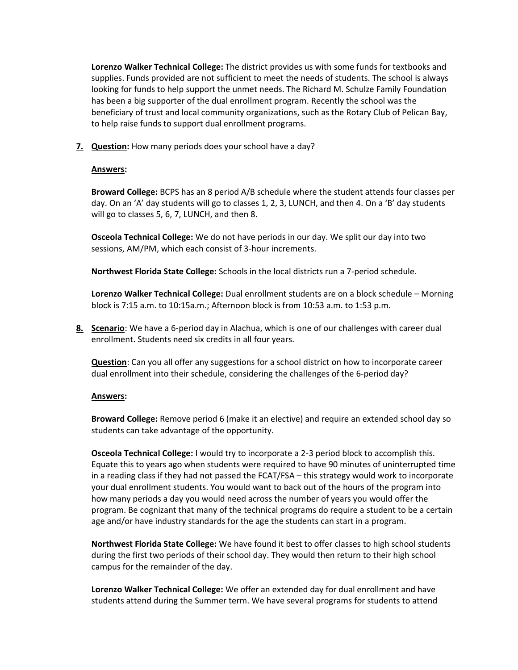**Lorenzo Walker Technical College:** The district provides us with some funds for textbooks and supplies. Funds provided are not sufficient to meet the needs of students. The school is always looking for funds to help support the unmet needs. The Richard M. Schulze Family Foundation has been a big supporter of the dual enrollment program. Recently the school was the beneficiary of trust and local community organizations, such as the Rotary Club of Pelican Bay, to help raise funds to support dual enrollment programs.

**7. Question:** How many periods does your school have a day?

#### **Answers:**

**Broward College:** BCPS has an 8 period A/B schedule where the student attends four classes per day. On an 'A' day students will go to classes 1, 2, 3, LUNCH, and then 4. On a 'B' day students will go to classes 5, 6, 7, LUNCH, and then 8.

**Osceola Technical College:** We do not have periods in our day. We split our day into two sessions, AM/PM, which each consist of 3-hour increments.

**Northwest Florida State College:** Schools in the local districts run a 7-period schedule.

**Lorenzo Walker Technical College:** Dual enrollment students are on a block schedule – Morning block is 7:15 a.m. to 10:15a.m.; Afternoon block is from 10:53 a.m. to 1:53 p.m.

**8. Scenario**: We have a 6-period day in Alachua, which is one of our challenges with career dual enrollment. Students need six credits in all four years.

**Question**: Can you all offer any suggestions for a school district on how to incorporate career dual enrollment into their schedule, considering the challenges of the 6-period day?

#### **Answers:**

**Broward College:** Remove period 6 (make it an elective) and require an extended school day so students can take advantage of the opportunity.

**Osceola Technical College:** I would try to incorporate a 2-3 period block to accomplish this. Equate this to years ago when students were required to have 90 minutes of uninterrupted time in a reading class if they had not passed the FCAT/FSA – this strategy would work to incorporate your dual enrollment students. You would want to back out of the hours of the program into how many periods a day you would need across the number of years you would offer the program. Be cognizant that many of the technical programs do require a student to be a certain age and/or have industry standards for the age the students can start in a program.

**Northwest Florida State College:** We have found it best to offer classes to high school students during the first two periods of their school day. They would then return to their high school campus for the remainder of the day.

**Lorenzo Walker Technical College:** We offer an extended day for dual enrollment and have students attend during the Summer term. We have several programs for students to attend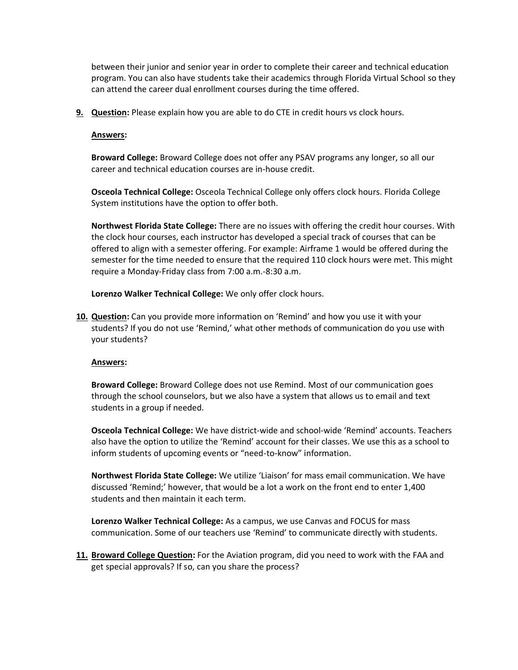between their junior and senior year in order to complete their career and technical education program. You can also have students take their academics through Florida Virtual School so they can attend the career dual enrollment courses during the time offered.

**9.** Question: Please explain how you are able to do CTE in credit hours vs clock hours.

#### **Answers:**

**Broward College:** Broward College does not offer any PSAV programs any longer, so all our career and technical education courses are in-house credit.

**Osceola Technical College:** Osceola Technical College only offers clock hours. Florida College System institutions have the option to offer both.

**Northwest Florida State College:** There are no issues with offering the credit hour courses. With the clock hour courses, each instructor has developed a special track of courses that can be offered to align with a semester offering. For example: Airframe 1 would be offered during the semester for the time needed to ensure that the required 110 clock hours were met. This might require a Monday-Friday class from 7:00 a.m.-8:30 a.m.

**Lorenzo Walker Technical College:** We only offer clock hours.

**10. Question:** Can you provide more information on 'Remind' and how you use it with your students? If you do not use 'Remind,' what other methods of communication do you use with your students?

### **Answers:**

**Broward College:** Broward College does not use Remind. Most of our communication goes through the school counselors, but we also have a system that allows us to email and text students in a group if needed.

**Osceola Technical College:** We have district-wide and school-wide 'Remind' accounts. Teachers also have the option to utilize the 'Remind' account for their classes. We use this as a school to inform students of upcoming events or "need-to-know" information.

**Northwest Florida State College:** We utilize 'Liaison' for mass email communication. We have discussed 'Remind;' however, that would be a lot a work on the front end to enter 1,400 students and then maintain it each term.

**Lorenzo Walker Technical College:** As a campus, we use Canvas and FOCUS for mass communication. Some of our teachers use 'Remind' to communicate directly with students.

**11. Broward College Question:** For the Aviation program, did you need to work with the FAA and get special approvals? If so, can you share the process?